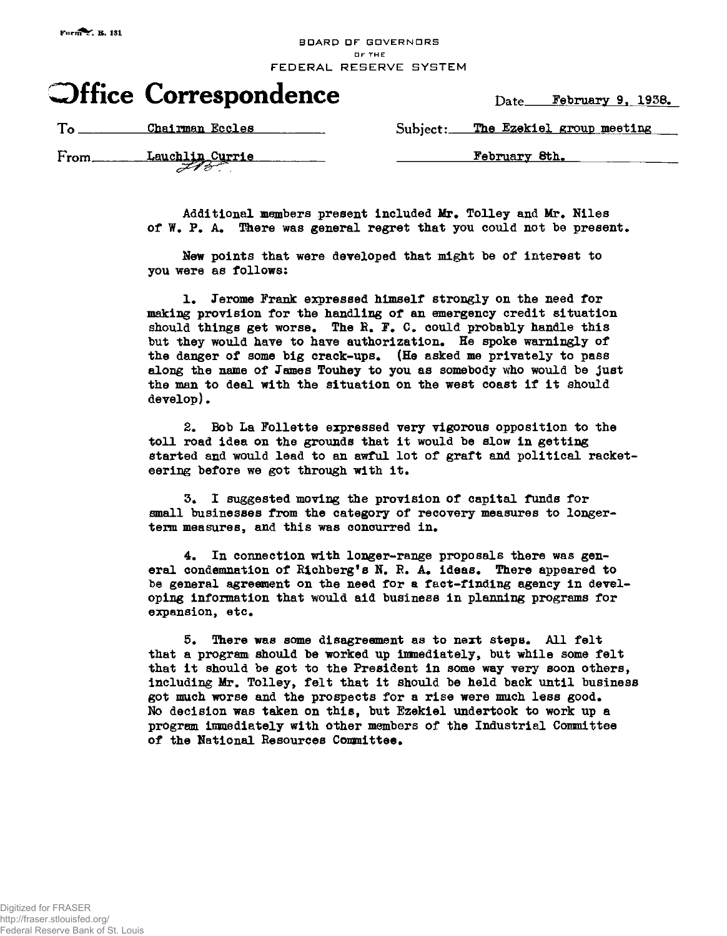## **BDARD OF GOVERNORS • F TH E FEDERA L RESERV E SYSTE M**



**To Chairman Eccles Subject**; **The Ezekiel group meeting** 

From Lauchlin Currie February 8th.

Additional members present included Mr. Tolley and Mr. Niles of  $W_$ .  $P_$ . A. There was general regret that you could not be present.

New points that were developed that might be of interest to you were as follows:

1. Jerome Frank expressed himself strongly on the need for making provision for the handling of an emergency credit situation should things get worse. The R. F. C. could probably handle this but they would have to have authorization. He spoke warningly of the danger of some big crack-ups. (He asked me privately to pass along the name of James Touhey to you as somebody who would be just the man to deal with the situation on the west coast if it should develop).

2. Bob La Follette expressed very vigorous opposition to the toll road idea on the grounds that it would be slow in getting started and would lead to an awful lot of graft and political racketeering before we got through with it.

3. I suggested moving the provision of capital funds for small businesses from the category of recovery measures to longerterm measures, and this was concurred in.

4. In connection with longer-range proposals there was general condemnation of Richberg's N. R. A. ideas. There appeared to be general agreement on the need for a fact-finding agency in developing information that would aid business in planning programs for expansion, etc.

5. There was some disagreement as to next steps. All felt that a program should be worked up immediately, but while some felt that it should be got to the President in some way very soon others, including Mr. Tolley, felt that it should be held back until business got much worse and the prospects for a rise were much less good. No decision was taken on this, but Ezekiel undertook to work up a program immediately with other members of the Industrial Committee of the National Resources Comaittee.